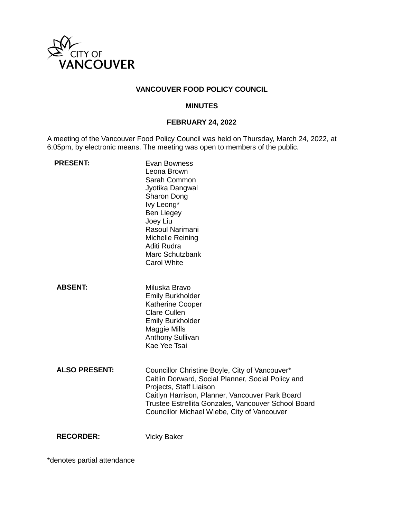

# **VANCOUVER FOOD POLICY COUNCIL**

#### **MINUTES**

# **FEBRUARY 24, 2022**

A meeting of the Vancouver Food Policy Council was held on Thursday, March 24, 2022, at 6:05pm, by electronic means. The meeting was open to members of the public.

| <b>PRESENT:</b>      | Evan Bowness<br>Leona Brown<br>Sarah Common<br>Jyotika Dangwal<br><b>Sharon Dong</b><br>Ivy Leong*<br><b>Ben Liegey</b><br>Joey Liu<br>Rasoul Narimani<br>Michelle Reining<br>Aditi Rudra<br>Marc Schutzbank<br><b>Carol White</b>                                                       |
|----------------------|------------------------------------------------------------------------------------------------------------------------------------------------------------------------------------------------------------------------------------------------------------------------------------------|
| <b>ABSENT:</b>       | Miluska Bravo<br><b>Emily Burkholder</b><br><b>Katherine Cooper</b><br><b>Clare Cullen</b><br><b>Emily Burkholder</b><br>Maggie Mills<br><b>Anthony Sullivan</b><br>Kae Yee Tsai                                                                                                         |
| <b>ALSO PRESENT:</b> | Councillor Christine Boyle, City of Vancouver*<br>Caitlin Dorward, Social Planner, Social Policy and<br>Projects, Staff Liaison<br>Caitlyn Harrison, Planner, Vancouver Park Board<br>Trustee Estrellita Gonzales, Vancouver School Board<br>Councillor Michael Wiebe, City of Vancouver |
| <b>RECORDER:</b>     | <b>Vicky Baker</b>                                                                                                                                                                                                                                                                       |

\*denotes partial attendance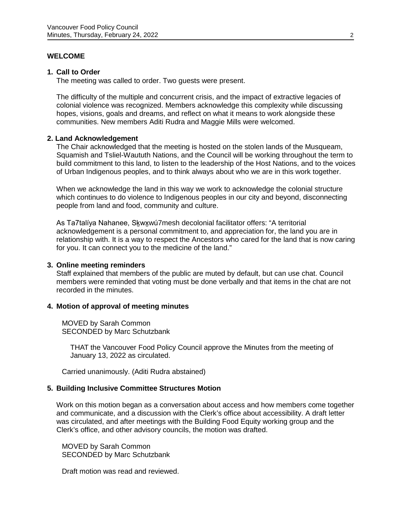### **WELCOME**

#### **1. Call to Order**

The meeting was called to order. Two guests were present.

The difficulty of the multiple and concurrent crisis, and the impact of extractive legacies of colonial violence was recognized. Members acknowledge this complexity while discussing hopes, visions, goals and dreams, and reflect on what it means to work alongside these communities. New members Aditi Rudra and Maggie Mills were welcomed.

### **2. Land Acknowledgement**

The Chair acknowledged that the meeting is hosted on the stolen lands of the Musqueam, Squamish and Tsliel-Waututh Nations, and the Council will be working throughout the term to build commitment to this land, to listen to the leadership of the Host Nations, and to the voices of Urban Indigenous peoples, and to think always about who we are in this work together.

When we acknowledge the land in this way we work to acknowledge the colonial structure which continues to do violence to Indigenous peoples in our city and beyond, disconnecting people from land and food, community and culture.

As Ta7talíya Nahanee, Sḵwx̱wú7mesh decolonial facilitator offers: "A territorial acknowledgement is a personal commitment to, and appreciation for, the land you are in relationship with. It is a way to respect the Ancestors who cared for the land that is now caring for you. It can connect you to the medicine of the land."

#### **3. Online meeting reminders**

Staff explained that members of the public are muted by default, but can use chat. Council members were reminded that voting must be done verbally and that items in the chat are not recorded in the minutes.

#### **4. Motion of approval of [meeting minutes](https://docs.google.com/document/d/1bEgsOcbi3h8Xh83u-jqcx2y0y2MIvVqy/edit?usp=sharing&ouid=106876114645736568609&rtpof=true&sd=true)**

MOVED by Sarah Common SECONDED by Marc Schutzbank

THAT the Vancouver Food Policy Council approve the Minutes from the meeting of January 13, 2022 as circulated.

Carried unanimously. (Aditi Rudra abstained)

#### **5. [Building Inclusive Committee Structures Motion](https://docs.google.com/document/d/13fhlm3rQfxtJj59pso6Mx4p4ibP0aMvdY-PuNkXqUtU/edit?usp=sharing)**

Work on this motion began as a conversation about access and how members come together and communicate, and a discussion with the Clerk's office about accessibility. A draft letter was circulated, and after meetings with the Building Food Equity working group and the Clerk's office, and other advisory councils, the motion was drafted.

MOVED by Sarah Common SECONDED by Marc Schutzbank

Draft motion was read and reviewed.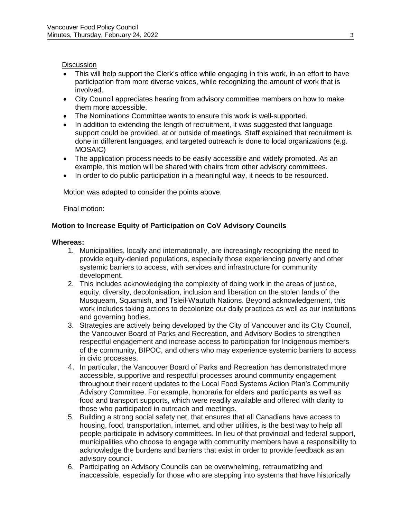# **Discussion**

- This will help support the Clerk's office while engaging in this work, in an effort to have participation from more diverse voices, while recognizing the amount of work that is involved.
- City Council appreciates hearing from advisory committee members on how to make them more accessible.
- The Nominations Committee wants to ensure this work is well-supported.
- In addition to extending the length of recruitment, it was suggested that language support could be provided, at or outside of meetings. Staff explained that recruitment is done in different languages, and targeted outreach is done to local organizations (e.g. MOSAIC)
- The application process needs to be easily accessible and widely promoted. As an example, this motion will be shared with chairs from other advisory committees.
- In order to do public participation in a meaningful way, it needs to be resourced.

Motion was adapted to consider the points above.

Final motion:

# **Motion to Increase Equity of Participation on CoV Advisory Councils**

#### **Whereas:**

- 1. Municipalities, locally and internationally, are increasingly recognizing the need to provide equity-denied populations, especially those experiencing poverty and other systemic barriers to access, with services and infrastructure for community development.
- 2. This includes acknowledging the complexity of doing work in the areas of justice, equity, diversity, decolonisation, inclusion and liberation on the stolen lands of the Musqueam, Squamish, and Tsleil-Waututh Nations. Beyond acknowledgement, this work includes taking actions to decolonize our daily practices as well as our institutions and governing bodies.
- 3. Strategies are actively being developed by the City of Vancouver and its City Council, the Vancouver Board of Parks and Recreation, and Advisory Bodies to strengthen respectful engagement and increase access to participation for Indigenous members of the community, BIPOC, and others who may experience systemic barriers to access in civic processes.
- 4. In particular, the Vancouver Board of Parks and Recreation has demonstrated more accessible, supportive and respectful processes around community engagement throughout their recent updates to the Local Food Systems Action Plan's Community Advisory Committee. For example, honoraria for elders and participants as well as food and transport supports, which were readily available and offered with clarity to those who participated in outreach and meetings.
- 5. Building a strong social safety net, that ensures that all Canadians have access to housing, food, transportation, internet, and other utilities, is the best way to help all people participate in advisory committees. In lieu of that provincial and federal support, municipalities who choose to engage with community members have a responsibility to acknowledge the burdens and barriers that exist in order to provide feedback as an advisory council.
- 6. Participating on Advisory Councils can be overwhelming, retraumatizing and inaccessible, especially for those who are stepping into systems that have historically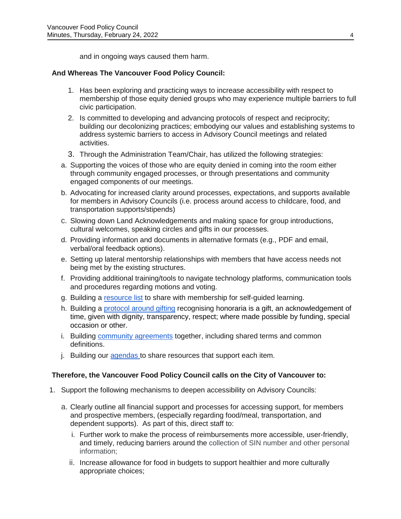and in ongoing ways caused them harm.

# **And Whereas The Vancouver Food Policy Council:**

- 1. Has been exploring and practicing ways to increase accessibility with respect to membership of those equity denied groups who may experience multiple barriers to full civic participation.
- 2. Is committed to developing and advancing protocols of respect and reciprocity; building our decolonizing practices; embodying our values and establishing systems to address systemic barriers to access in Advisory Council meetings and related activities.
- 3. Through the Administration Team/Chair, has utilized the following strategies:
- a. Supporting the voices of those who are equity denied in coming into the room either through community engaged processes, or through presentations and community engaged components of our meetings.
- b. Advocating for increased clarity around processes, expectations, and supports available for members in Advisory Councils (i.e. process around access to childcare, food, and transportation supports/stipends)
- c. Slowing down Land Acknowledgements and making space for group introductions, cultural welcomes, speaking circles and gifts in our processes.
- d. Providing information and documents in alternative formats (e.g., PDF and email, verbal/oral feedback options).
- e. Setting up lateral mentorship relationships with members that have access needs not being met by the existing structures.
- f. Providing additional training/tools to navigate technology platforms, communication tools and procedures regarding motions and voting.
- g. Building a [resource list](https://drive.google.com/drive/folders/1ST83-5DU2F7-EU2_y1TDVG5CChIGW_Ec?usp=sharing) to share with membership for self-guided learning.
- h. Building a [protocol around gifting](https://docs.google.com/document/d/1F-H-7J_a9rdGpZuze2HRmQ8rfBwzTVCccf5AF0iGEe4/edit?usp=sharing) recognising honoraria is a gift, an acknowledgement of time, given with dignity, transparency, respect; where made possible by funding, special occasion or other.
- i. Building [community agreements](https://docs.google.com/document/d/1g8qJZnt4apod2Zakdz5uRY_OnXL7FDDdxormY8GIvnQ/edit?usp=sharing) together, including shared terms and common definitions.
- j. Building our [agendas t](https://docs.google.com/document/d/1vo50h4yJs-cBzJrQwEIfJZkq20BLFLDIdYoKx8kTRjs/edit?usp=sharing)o share resources that support each item.

# **Therefore, the Vancouver Food Policy Council calls on the City of Vancouver to:**

- 1. Support the following mechanisms to deepen accessibility on Advisory Councils:
	- a. Clearly outline all financial support and processes for accessing support, for members and prospective members, (especially regarding food/meal, transportation, and dependent supports). As part of this, direct staff to:
		- i. Further work to make the process of reimbursements more accessible, user-friendly, and timely, reducing barriers around the collection of SIN number and other personal information;
		- ii. Increase allowance for food in budgets to support healthier and more culturally appropriate choices;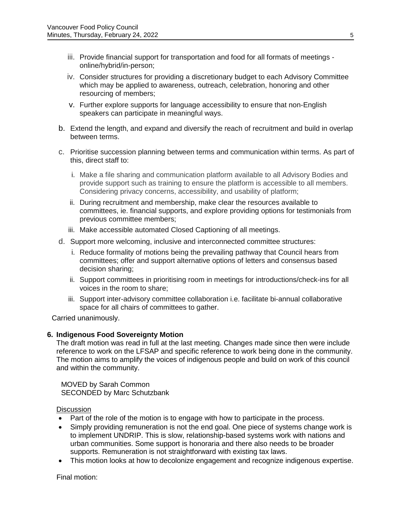- iii. Provide financial support for transportation and food for all formats of meetings online/hybrid/in-person;
- iv. Consider structures for providing a discretionary budget to each Advisory Committee which may be applied to awareness, outreach, celebration, honoring and other resourcing of members;
- v. Further explore supports for language accessibility to ensure that non-English speakers can participate in meaningful ways.
- b. Extend the length, and expand and diversify the reach of recruitment and build in overlap between terms.
- c. Prioritise succession planning between terms and communication within terms. As part of this, direct staff to:
	- i. Make a file sharing and communication platform available to all Advisory Bodies and provide support such as training to ensure the platform is accessible to all members. Considering privacy concerns, accessibility, and usability of platform;
	- ii. During recruitment and membership, make clear the resources available to committees, ie. financial supports, and explore providing options for testimonials from previous committee members;
	- iii. Make accessible automated Closed Captioning of all meetings.
- d. Support more welcoming, inclusive and interconnected committee structures:
	- i. Reduce formality of motions being the prevailing pathway that Council hears from committees; offer and support alternative options of letters and consensus based decision sharing;
	- ii. Support committees in prioritising room in meetings for introductions/check-ins for all voices in the room to share;
	- iii. Support inter-advisory committee collaboration i.e. facilitate bi-annual collaborative space for all chairs of committees to gather.

Carried unanimously.

# **6. [Indigenous Food Sovereignty Motion](https://docs.google.com/document/d/1RkrOwjCQhu92fvz9yBVuVsq40CSQUxiUY_juR_C4geY/edit?usp=sharing)**

The draft motion was read in full at the last meeting. Changes made since then were include reference to work on the LFSAP and specific reference to work being done in the community. The motion aims to amplify the voices of indigenous people and build on work of this council and within the community.

MOVED by Sarah Common SECONDED by Marc Schutzbank

#### **Discussion**

- Part of the role of the motion is to engage with how to participate in the process.
- Simply providing remuneration is not the end goal. One piece of systems change work is to implement UNDRIP. This is slow, relationship-based systems work with nations and urban communities. Some support is honoraria and there also needs to be broader supports. Remuneration is not straightforward with existing tax laws.
- This motion looks at how to decolonize engagement and recognize indigenous expertise.

Final motion: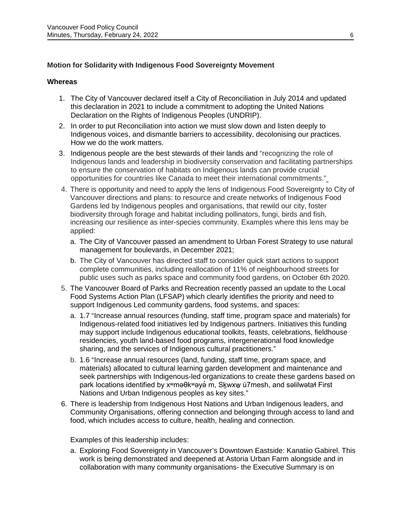# **Motion for Solidarity with Indigenous Food Sovereignty Movement**

#### **Whereas**

- 1. The City of Vancouver declared itself a City of Reconciliation in July 2014 and updated this declaration in 2021 to include a commitment to adopting the United Nations Declaration on the Rights of Indigenous Peoples (UNDRIP).
- 2. In order to put Reconciliation into action we must slow down and listen deeply to Indigenous voices, and dismantle barriers to accessibility, decolonising our practices. How we do the work matters.
- 3. Indigenous people are the best stewards of their lands and "recognizing the role of Indigenous lands and leadership in biodiversity conservation and facilitating partnerships to ensure the conservation of habitats on Indigenous lands can provide crucial opportunities for countries like Canada to meet their international commitments.["](https://policyoptions.irpp.org/magazines/august-2019/indigenous-stewardship-is-the-key-to-global-conservation-goals/)
- 4. There is opportunity and need to apply the lens of Indigenous Food Sovereignty to City of Vancouver directions and plans: to resource and create networks of Indigenous Food Gardens led by Indigenous peoples and organisations, that rewild our city, foster biodiversity through forage and habitat including pollinators, fungi, birds and fish, increasing our resilience as inter-species community. Examples where this lens may be applied:
	- a. The City of Vancouver passed an amendment to Urban Forest Strategy to use natural management for boulevards, in December 2021;
	- b. The City of Vancouver has directed staff to consider quick start actions to support complete communities, including reallocation of 11% of neighbourhood streets for public uses such as parks space and community food gardens, on October 6th 2020.
- 5. The Vancouver Board of Parks and Recreation recently passed an update to the Local Food Systems Action Plan (LFSAP) which clearly identifies the priority and need to support Indigenous Led community gardens, food systems, and spaces:
	- a. 1.7 "Increase annual resources (funding, staff time, program space and materials) for Indigenous-related food initiatives led by Indigenous partners. Initiatives this funding may support include Indigenous educational toolkits, feasts, celebrations, fieldhouse residencies, youth land-based food programs, intergenerational food knowledge sharing, and the services of Indigenous cultural practitioners."
	- b. 1.6 "Increase annual resources (land, funding, staff time, program space, and materials) allocated to cultural learning garden development and maintenance and seek partnerships with Indigenous-led organizations to create these gardens based on park locations identified by x<sup>w</sup>məθk<sup>w</sup>əya'm, Skwxw ú7mesh, and səlilwətał First Nations and Urban Indigenous peoples as key sites."
- 6. There is leadership from Indigenous Host Nations and Urban Indigenous leaders, and Community Organisations, offering connection and belonging through access to land and food, which includes access to culture, health, healing and connection.

Examples of this leadership includes:

a. Exploring Food Sovereignty in Vancouver's Downtown Eastside: Kanatiio Gabirel. This work is being demonstrated and deepened at Astoria Urban Farm alongside and in collaboration with many community organisations- the Executive Summary is on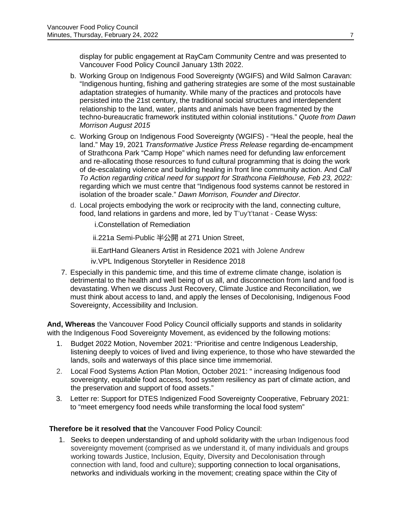display for public engagement at RayCam Community Centre and was presented to Vancouver Food Policy Council January 13th 2022.

- b. Working Group on Indigenous Food Sovereignty (WGIFS) and Wild Salmon Caravan: "Indigenous hunting, fishing and gathering strategies are some of the most sustainable adaptation strategies of humanity. While many of the practices and protocols have persisted into the 21st century, the traditional social structures and interdependent relationship to the land, water, plants and animals have been fragmented by the techno-bureaucratic framework instituted within colonial institutions." *Quote from Dawn Morrison August 2015*
- c. Working Group on Indigenous Food Sovereignty (WGIFS) "Heal the people, heal the land." May 19, 2021 *Transformative Justice Press Release* regarding de-encampment of Strathcona Park "Camp Hope" which names need for defunding law enforcement and re-allocating those resources to fund cultural programming that is doing the work of de-escalating violence and building healing in front line community action. And *Call To Action regarding critical need for support for Strathcona Fieldhouse, Feb 23, 2022:*  regarding which we must centre that "Indigenous food systems cannot be restored in isolation of the broader scale." *Dawn Morrison, Founder and Director.*
- d. Local projects embodying the work or reciprocity with the land, connecting culture, food, land relations in gardens and more, led by T'uy't'tanat - Cease Wyss:
	- i.Constellation of Remediation

ii.221a Semi-Public 半公開 at 271 Union Street,

iii.EartHand Gleaners Artist in Residence 2021 with Jolene Andrew

iv.VPL Indigenous Storyteller in Residence 2018

7. Especially in this pandemic time, and this time of extreme climate change, isolation is detrimental to the health and well being of us all, and disconnection from land and food is devastating. When we discuss Just Recovery, Climate Justice and Reconciliation, we must think about access to land, and apply the lenses of Decolonising, Indigenous Food Sovereignty, Accessibility and Inclusion.

**And, Whereas** the Vancouver Food Policy Council officially supports and stands in solidarity with the Indigenous Food Sovereignty Movement, as evidenced by the following motions:

- 1. Budget 2022 Motion, November 2021: "Prioritise and centre Indigenous Leadership, listening deeply to voices of lived and living experience, to those who have stewarded the lands, soils and waterways of this place since time immemorial.
- 2. Local Food Systems Action Plan Motion, October 2021: " increasing Indigenous food sovereignty, equitable food access, food system resiliency as part of climate action, and the preservation and support of food assets."
- 3. Letter re: Support for DTES Indigenized Food Sovereignty Cooperative, February 2021: to "meet emergency food needs while transforming the local food system"

# **Therefore be it resolved that** the Vancouver Food Policy Council:

1. Seeks to deepen understanding of and uphold solidarity with the urban Indigenous food sovereignty movement (comprised as we understand it, of many individuals and groups working towards Justice, Inclusion, Equity, Diversity and Decolonisation through connection with land, food and culture); supporting connection to local organisations, networks and individuals working in the movement; creating space within the City of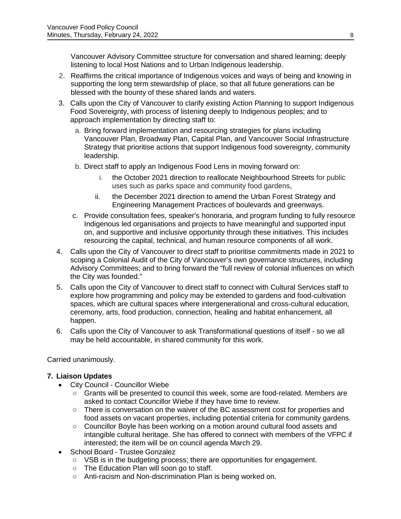Vancouver Advisory Committee structure for conversation and shared learning; deeply listening to local Host Nations and to Urban Indigenous leadership.

- 2. Reaffirms the critical importance of Indigenous voices and ways of being and knowing in supporting the long term stewardship of place, so that all future generations can be blessed with the bounty of these shared lands and waters.
- 3. Calls upon the City of Vancouver to clarify existing Action Planning to support Indigenous Food Sovereignty, with process of listening deeply to Indigenous peoples; and to approach implementation by directing staff to:
	- a. Bring forward implementation and resourcing strategies for plans including Vancouver Plan, Broadway Plan, Capital Plan, and Vancouver Social Infrastructure Strategy that prioritise actions that support Indigenous food sovereignty, community leadership.
	- b. Direct staff to apply an Indigenous Food Lens in moving forward on:
		- i. the October 2021 direction to reallocate Neighbourhood Streets for public uses such as parks space and community food gardens,
		- ii. the December 2021 direction to amend the Urban Forest Strategy and Engineering Management Practices of boulevards and greenways.
	- c. Provide consultation fees, speaker's honoraria, and program funding to fully resource Indigenous led organisations and projects to have meaningful and supported input on, and supportive and inclusive opportunity through these initiatives. This includes resourcing the capital, technical, and human resource components of all work.
- 4. Calls upon the City of Vancouver to direct staff to prioritise commitments made in 2021 to scoping a Colonial Audit of the City of Vancouver's own governance structures, including Advisory Committees; and to bring forward the "full review of colonial influences on which the City was founded."
- 5. Calls upon the City of Vancouver to direct staff to connect with Cultural Services staff to explore how programming and policy may be extended to gardens and food-cultivation spaces, which are cultural spaces where intergenerational and cross-cultural education, ceremony, arts, food production, connection, healing and habitat enhancement, all happen.
- 6. Calls upon the City of Vancouver to ask Transformational questions of itself so we all may be held accountable, in shared community for this work.

Carried unanimously.

# **7. Liaison Updates**

- City Council Councillor Wiebe
	- Grants will be presented to council this week, some are food-related. Members are asked to contact Councillor Wiebe if they have time to review.
	- There is conversation on the waiver of the BC assessment cost for properties and food assets on vacant properties, including potential criteria for community gardens.
	- Councillor Boyle has been working on a motion around cultural food assets and intangible cultural heritage. She has offered to connect with members of the VFPC if interested; the item will be on council agenda March 29.
- School Board Trustee Gonzalez
	- VSB is in the budgeting process; there are opportunities for engagement.
	- The Education Plan will soon go to staff.
	- Anti-racism and Non-discrimination Plan is being worked on.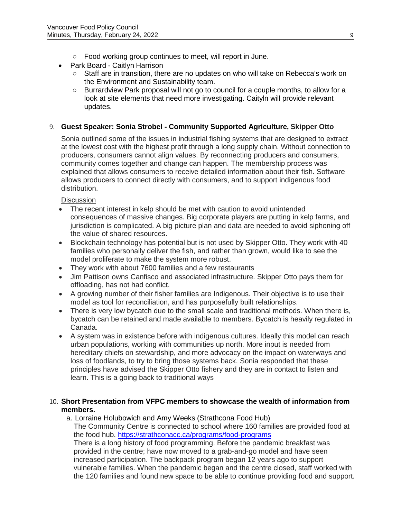- Food working group continues to meet, will report in June.
- Park Board Caitlyn Harrison
	- Staff are in transition, there are no updates on who will take on Rebecca's work on the Environment and Sustainability team.
	- Burrardview Park proposal will not go to council for a couple months, to allow for a look at site elements that need more investigating. Caityln will provide relevant updates.

# 9. **Guest Speaker: Sonia Strobel - Community Supported Agriculture, Skipper Otto**

Sonia outlined some of the issues in industrial fishing systems that are designed to extract at the lowest cost with the highest profit through a long supply chain. Without connection to producers, consumers cannot align values. By reconnecting producers and consumers, community comes together and change can happen. The membership process was explained that allows consumers to receive detailed information about their fish. Software allows producers to connect directly with consumers, and to support indigenous food distribution.

### **Discussion**

- The recent interest in kelp should be met with caution to avoid unintended consequences of massive changes. Big corporate players are putting in kelp farms, and jurisdiction is complicated. A big picture plan and data are needed to avoid siphoning off the value of shared resources.
- Blockchain technology has potential but is not used by Skipper Otto. They work with 40 families who personally deliver the fish, and rather than grown, would like to see the model proliferate to make the system more robust.
- They work with about 7600 families and a few restaurants
- Jim Pattison owns Canfisco and associated infrastructure. Skipper Otto pays them for offloading, has not had conflict.
- A growing number of their fisher families are Indigenous. Their objective is to use their model as tool for reconciliation, and has purposefully built relationships.
- There is very low bycatch due to the small scale and traditional methods. When there is, bycatch can be retained and made available to members. Bycatch is heavily regulated in Canada.
- A system was in existence before with indigenous cultures. Ideally this model can reach urban populations, working with communities up north. More input is needed from hereditary chiefs on stewardship, and more advocacy on the impact on waterways and loss of foodlands, to try to bring those systems back. Sonia responded that these principles have advised the Skipper Otto fishery and they are in contact to listen and learn. This is a going back to traditional ways

### 10. **Short Presentation from VFPC members to showcase the wealth of information from members.**

a. Lorraine Holubowich and Amy Weeks (Strathcona Food Hub) The Community Centre is connected to school where 160 families are provided food at the food hub.<https://strathconacc.ca/programs/food-programs> There is a long history of food programming. Before the pandemic breakfast was provided in the centre; have now moved to a grab-and-go model and have seen increased participation. The backpack program began 12 years ago to support vulnerable families. When the pandemic began and the centre closed, staff worked with the 120 families and found new space to be able to continue providing food and support.